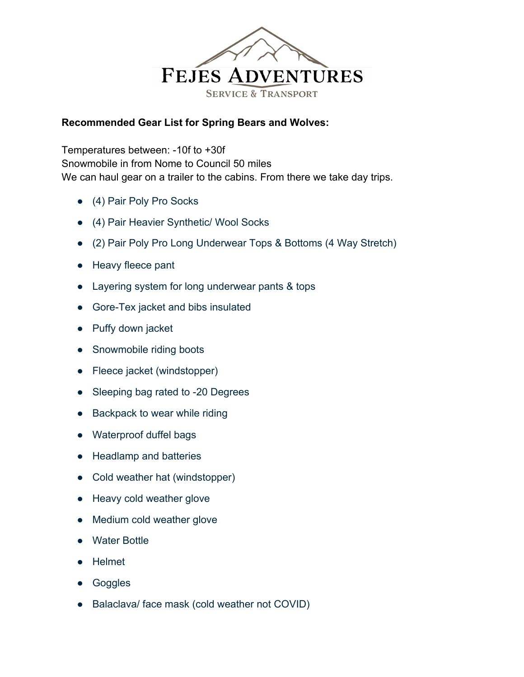

## **Recommended Gear List for Spring Bears and Wolves:**

Temperatures between: -10f to +30f Snowmobile in from Nome to Council 50 miles We can haul gear on a trailer to the cabins. From there we take day trips.

- (4) Pair Poly Pro Socks
- (4) Pair Heavier Synthetic/ Wool Socks
- (2) Pair Poly Pro Long Underwear Tops & Bottoms (4 Way Stretch)
- Heavy fleece pant
- Layering system for long underwear pants & tops
- Gore-Tex jacket and bibs insulated
- Puffy down jacket
- Snowmobile riding boots
- Fleece jacket (windstopper)
- Sleeping bag rated to -20 Degrees
- Backpack to wear while riding
- Waterproof duffel bags
- Headlamp and batteries
- Cold weather hat (windstopper)
- Heavy cold weather glove
- Medium cold weather glove
- Water Bottle
- **Helmet**
- Goggles
- Balaclava/ face mask (cold weather not COVID)